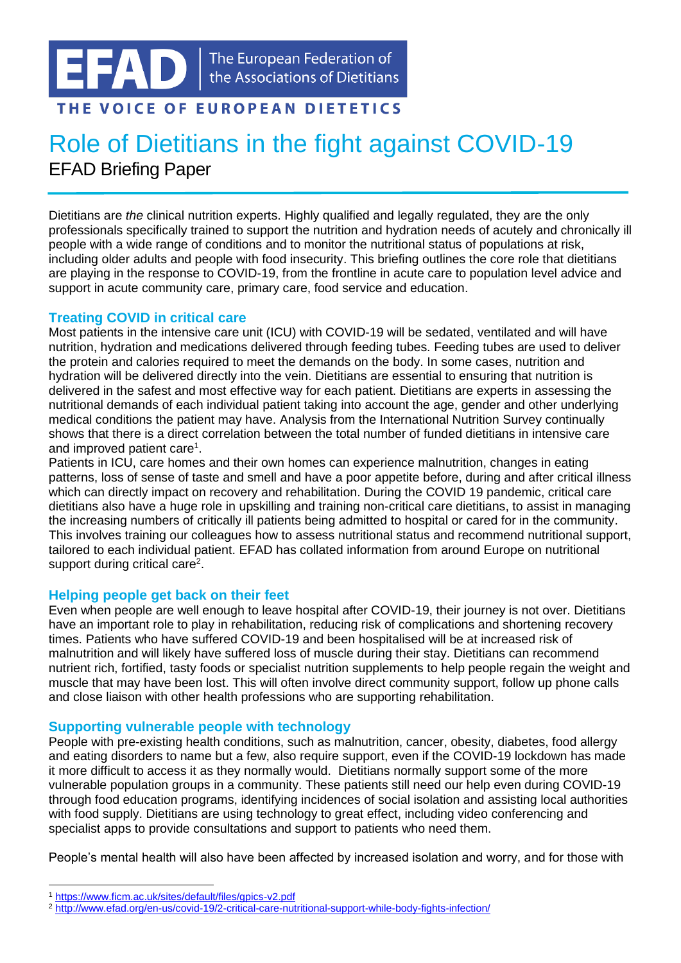# THE VOICE OF EUROPEAN DIETETICS

# Role of Dietitians in the fight against COVID-19 EFAD Briefing Paper

Dietitians are *the* clinical nutrition experts. Highly qualified and legally regulated, they are the only professionals specifically trained to support the nutrition and hydration needs of acutely and chronically ill people with a wide range of conditions and to monitor the nutritional status of populations at risk, including older adults and people with food insecurity. This briefing outlines the core role that dietitians are playing in the response to COVID-19, from the frontline in acute care to population level advice and support in acute community care, primary care, food service and education.

## **Treating COVID in critical care**

Most patients in the intensive care unit (ICU) with COVID-19 will be sedated, ventilated and will have nutrition, hydration and medications delivered through feeding tubes. Feeding tubes are used to deliver the protein and calories required to meet the demands on the body. In some cases, nutrition and hydration will be delivered directly into the vein. Dietitians are essential to ensuring that nutrition is delivered in the safest and most effective way for each patient. Dietitians are experts in assessing the nutritional demands of each individual patient taking into account the age, gender and other underlying medical conditions the patient may have. Analysis from the International Nutrition Survey continually shows that there is a direct correlation between the total number of funded dietitians in intensive care and improved patient care<sup>1</sup>.

Patients in ICU, care homes and their own homes can experience malnutrition, changes in eating patterns, loss of sense of taste and smell and have a poor appetite before, during and after critical illness which can directly impact on recovery and rehabilitation. During the COVID 19 pandemic, critical care dietitians also have a huge role in upskilling and training non-critical care dietitians, to assist in managing the increasing numbers of critically ill patients being admitted to hospital or cared for in the community. This involves training our colleagues how to assess nutritional status and recommend nutritional support, tailored to each individual patient. EFAD has collated information from around Europe on nutritional support during critical care<sup>2</sup>.

# **Helping people get back on their feet**

Even when people are well enough to leave hospital after COVID-19, their journey is not over. Dietitians have an important role to play in rehabilitation, reducing risk of complications and shortening recovery times. Patients who have suffered COVID-19 and been hospitalised will be at increased risk of malnutrition and will likely have suffered loss of muscle during their stay. Dietitians can recommend nutrient rich, fortified, tasty foods or specialist nutrition supplements to help people regain the weight and muscle that may have been lost. This will often involve direct community support, follow up phone calls and close liaison with other health professions who are supporting rehabilitation.

#### **Supporting vulnerable people with technology**

People with pre-existing health conditions, such as malnutrition, cancer, obesity, diabetes, food allergy and eating disorders to name but a few, also require support, even if the COVID-19 lockdown has made it more difficult to access it as they normally would. Dietitians normally support some of the more vulnerable population groups in a community. These patients still need our help even during COVID-19 through food education programs, identifying incidences of social isolation and assisting local authorities with food supply. Dietitians are using technology to great effect, including video conferencing and specialist apps to provide consultations and support to patients who need them.

People's mental health will also have been affected by increased isolation and worry, and for those with

<sup>1</sup> <https://www.ficm.ac.uk/sites/default/files/gpics-v2.pdf>

<sup>2</sup> <http://www.efad.org/en-us/covid-19/2-critical-care-nutritional-support-while-body-fights-infection/>